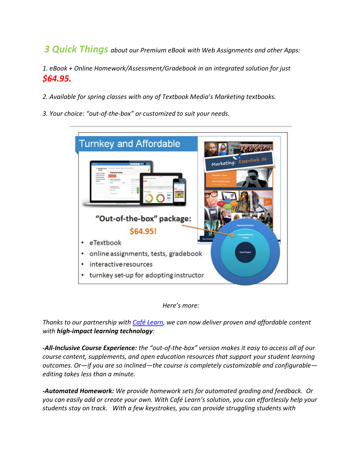*3 Quick Things about our Premium eBook with Web Assignments and other Apps:*

*1. eBook + Online Homework/Assessment/Gradebook in an integrated solution for just \$64.95.*

- *2. Available for spring classes with any of Textbook Media's Marketing textbooks.*
- *3. Your choice: "out-of-the-box" or customized to suit your needs.*

| <b>Turnkey and Affordable</b>          |                          |
|----------------------------------------|--------------------------|
|                                        | Marketing: Essentials se |
| "Out-of-the-box" package:              |                          |
| \$64.95!                               |                          |
| eTextbook<br>٠                         |                          |
| online assignments, tests, gradebook   | <b>Core Product</b>      |
| interactive resources                  |                          |
| turnkey set-up for adopting instructor |                          |

## *Here's more:*

*Thanks to our partnership with [Café Learn,](http://www.cafelearn.com/) we can now deliver proven and affordable content with high-impact learning technology:* 

*-All-Inclusive Course Experience: the "out-of-the-box" version makes it easy to access all of our course content, supplements, and open education resources that support your student learning outcomes. Or—if you are so inclined—the course is completely customizable and configurable editing takes less than a minute.*

*-Automated Homework: We provide homework sets for automated grading and feedback. Or you can easily add or create your own. With Café Learn's solution, you can effortlessly help your students stay on track. With a few keystrokes, you can provide struggling students with*